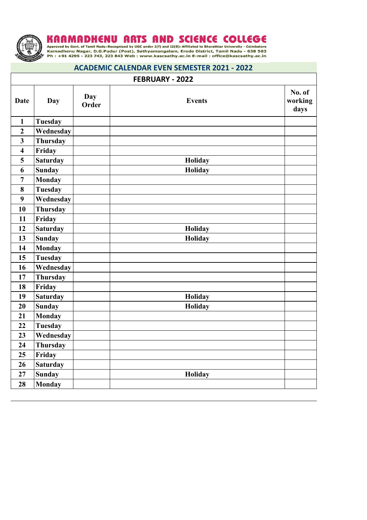

KARAMADHENU ARTS AND SCIENCE COLLEGE Approved by Govt. of Tamil Nadu . Recognized by UGC under 2(f) and 12(B) . Affiliated to Bharathiar University - Coimbatore Kamadhenu Nagar, D.G.Pudur (Post), Sathyamangalam, Erode Dist

## **ACADEMIC CALENDAR EVEN SEMESTER 2021 - 2022**

| FEBRUARY - 2022         |                 |                     |               |                           |
|-------------------------|-----------------|---------------------|---------------|---------------------------|
| <b>Date</b>             | <b>Day</b>      | <b>Day</b><br>Order | <b>Events</b> | No. of<br>working<br>days |
| $\mathbf{1}$            | <b>Tuesday</b>  |                     |               |                           |
| $\overline{2}$          | Wednesday       |                     |               |                           |
| $\overline{\mathbf{3}}$ | <b>Thursday</b> |                     |               |                           |
| $\overline{\mathbf{4}}$ | Friday          |                     |               |                           |
| 5                       | <b>Saturday</b> |                     | Holiday       |                           |
| 6                       | <b>Sunday</b>   |                     | Holiday       |                           |
| $\overline{7}$          | <b>Monday</b>   |                     |               |                           |
| 8                       | <b>Tuesday</b>  |                     |               |                           |
| 9                       | Wednesday       |                     |               |                           |
| 10                      | <b>Thursday</b> |                     |               |                           |
| 11                      | Friday          |                     |               |                           |
| 12                      | <b>Saturday</b> |                     | Holiday       |                           |
| 13                      | <b>Sunday</b>   |                     | Holiday       |                           |
| 14                      | <b>Monday</b>   |                     |               |                           |
| 15                      | <b>Tuesday</b>  |                     |               |                           |
| 16                      | Wednesday       |                     |               |                           |
| 17                      | <b>Thursday</b> |                     |               |                           |
| 18                      | Friday          |                     |               |                           |
| 19                      | <b>Saturday</b> |                     | Holiday       |                           |
| 20                      | <b>Sunday</b>   |                     | Holiday       |                           |
| 21                      | <b>Monday</b>   |                     |               |                           |
| 22                      | <b>Tuesday</b>  |                     |               |                           |
| 23                      | Wednesday       |                     |               |                           |
| 24                      | <b>Thursday</b> |                     |               |                           |
| 25                      | Friday          |                     |               |                           |
| 26                      | <b>Saturday</b> |                     |               |                           |
| 27                      | <b>Sunday</b>   |                     | Holiday       |                           |
| 28                      | <b>Monday</b>   |                     |               |                           |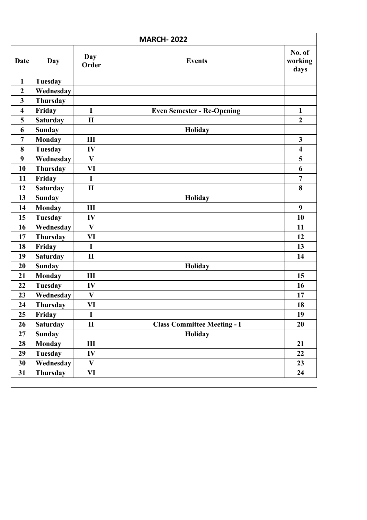| <b>MARCH-2022</b>       |                  |                     |                                    |                           |  |
|-------------------------|------------------|---------------------|------------------------------------|---------------------------|--|
| Date                    | Day              | <b>Day</b><br>Order | <b>Events</b>                      | No. of<br>working<br>days |  |
| $\mathbf{1}$            | <b>Tuesday</b>   |                     |                                    |                           |  |
| $\overline{2}$          | Wednesday        |                     |                                    |                           |  |
| $\overline{\mathbf{3}}$ | Thursday         |                     |                                    |                           |  |
| $\overline{\mathbf{4}}$ | Friday           | $\mathbf I$         | <b>Even Semester - Re-Opening</b>  | $\mathbf{1}$              |  |
| 5                       | <b>Saturday</b>  | $\mathbf{I}$        |                                    | $\boldsymbol{2}$          |  |
| 6                       | <b>Sunday</b>    |                     | Holiday                            |                           |  |
| $\overline{7}$          | <b>Monday</b>    | III                 |                                    | $\overline{\mathbf{3}}$   |  |
| 8                       | <b>Tuesday</b>   | IV                  |                                    | $\overline{\mathbf{4}}$   |  |
| 9                       | Wednesday        | $\mathbf{V}$        |                                    | 5                         |  |
| 10                      | Thursday         | VI                  |                                    | 6                         |  |
| 11                      | Friday           | $\mathbf I$         |                                    | $\overline{7}$            |  |
| 12                      | <b>Saturday</b>  | $\mathbf{I}$        |                                    | 8                         |  |
| 13                      | <b>Sunday</b>    |                     | Holiday                            |                           |  |
| 14                      | <b>Monday</b>    | III                 |                                    | 9                         |  |
| 15                      | <b>Tuesday</b>   | IV                  |                                    | 10                        |  |
| 16                      | Wednesday        | $\mathbf{V}$        |                                    | 11                        |  |
| 17                      | <b>Thursday</b>  | VI                  |                                    | 12                        |  |
| 18                      | Friday           | $\mathbf I$         |                                    | 13                        |  |
| 19                      | <b>Saturday</b>  | $\mathbf{I}$        |                                    | 14                        |  |
| 20                      | <b>Sunday</b>    |                     | Holiday                            |                           |  |
| 21                      | <b>Monday</b>    | III                 |                                    | 15                        |  |
| 22                      | <b>Tuesday</b>   | IV                  |                                    | 16                        |  |
| 23                      | <b>Wednesday</b> | $\mathbf{V}$        |                                    | 17                        |  |
| 24                      | <b>Thursday</b>  | VI                  |                                    | 18                        |  |
| 25                      | Friday           | I                   |                                    | 19                        |  |
| 26                      | <b>Saturday</b>  | $\mathbf{I}$        | <b>Class Committee Meeting - I</b> | 20                        |  |
| 27                      | <b>Sunday</b>    |                     | <b>Holiday</b>                     |                           |  |
| 28                      | <b>Monday</b>    | III                 |                                    | 21                        |  |
| 29                      | Tuesday          | IV                  |                                    | 22                        |  |
| 30                      | Wednesday        | $\mathbf{V}$        |                                    | 23                        |  |
| 31                      | Thursday         | VI                  |                                    | 24                        |  |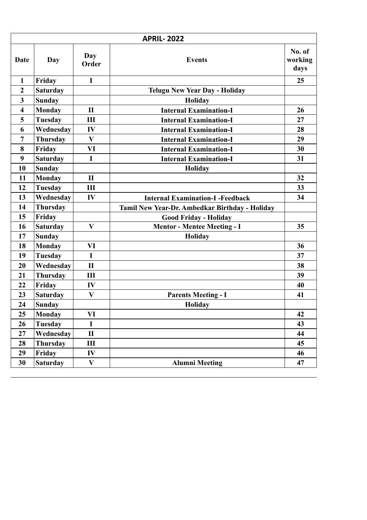| <b>APRIL-2022</b>       |                 |              |                                                |                           |
|-------------------------|-----------------|--------------|------------------------------------------------|---------------------------|
| Date                    | Day             | Day<br>Order | <b>Events</b>                                  | No. of<br>working<br>days |
| $\mathbf{1}$            | Friday          | $\mathbf I$  |                                                | 25                        |
| $\boldsymbol{2}$        | <b>Saturday</b> |              | <b>Telugu New Year Day - Holiday</b>           |                           |
| 3                       | <b>Sunday</b>   |              | Holiday                                        |                           |
| $\overline{\mathbf{4}}$ | <b>Monday</b>   | $\mathbf{I}$ | <b>Internal Examination-I</b>                  | 26                        |
| 5                       | <b>Tuesday</b>  | Ш            | <b>Internal Examination-I</b>                  | 27                        |
| 6                       | Wednesday       | IV           | <b>Internal Examination-I</b>                  | 28                        |
| 7                       | Thursday        | $\mathbf{V}$ | <b>Internal Examination-I</b>                  | 29                        |
| 8                       | Friday          | VI           | <b>Internal Examination-I</b>                  | 30                        |
| 9                       | <b>Saturday</b> | $\mathbf I$  | <b>Internal Examination-I</b>                  | 31                        |
| 10                      | <b>Sunday</b>   |              | <b>Holiday</b>                                 |                           |
| 11                      | <b>Monday</b>   | $\mathbf{I}$ |                                                | 32                        |
| 12                      | <b>Tuesday</b>  | III          |                                                | 33                        |
| 13                      | Wednesday       | IV           | <b>Internal Examination-I -Feedback</b>        | 34                        |
| 14                      | <b>Thursday</b> |              | Tamil New Year-Dr. Ambedkar Birthday - Holiday |                           |
| 15                      | Friday          |              | <b>Good Friday - Holiday</b>                   |                           |
| 16                      | <b>Saturday</b> | V            | <b>Mentor - Mentee Meeting - I</b>             | 35                        |
| 17                      | <b>Sunday</b>   |              | <b>Holiday</b>                                 |                           |
| 18                      | <b>Monday</b>   | VI           |                                                | 36                        |
| 19                      | <b>Tuesday</b>  | $\mathbf I$  |                                                | 37                        |
| 20                      | Wednesday       | $\mathbf{I}$ |                                                | 38                        |
| 21                      | Thursday        | III          |                                                | 39                        |
| 22                      | Friday          | IV           |                                                | 40                        |
| 23                      | <b>Saturday</b> | $\mathbf{V}$ | <b>Parents Meeting - I</b>                     | 41                        |
| 24                      | <b>Sunday</b>   |              | Holiday                                        |                           |
| 25                      | <b>Monday</b>   | VI           |                                                | 42                        |
| 26                      | <b>Tuesday</b>  | $\mathbf I$  |                                                | 43                        |
| 27                      | Wednesday       | $\mathbf{I}$ |                                                | 44                        |
| 28                      | Thursday        | III          |                                                | 45                        |
| 29                      | Friday          | IV           |                                                | 46                        |
| 30                      | <b>Saturday</b> | $\mathbf{V}$ | <b>Alumni Meeting</b>                          | 47                        |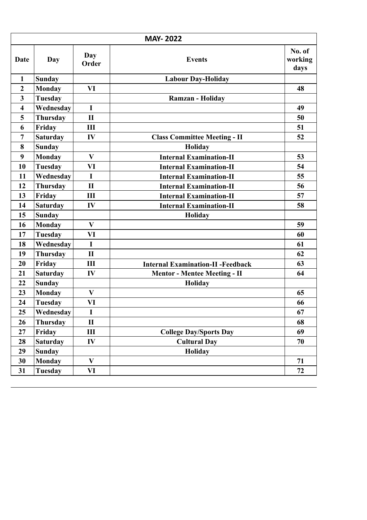| <b>MAY-2022</b>         |                 |              |                                          |                           |  |
|-------------------------|-----------------|--------------|------------------------------------------|---------------------------|--|
| Date                    | <b>Day</b>      | Day<br>Order | <b>Events</b>                            | No. of<br>working<br>days |  |
| $\mathbf{1}$            | <b>Sunday</b>   |              | <b>Labour Day-Holiday</b>                |                           |  |
| $\overline{2}$          | <b>Monday</b>   | VI           |                                          | 48                        |  |
| 3                       | <b>Tuesday</b>  |              | <b>Ramzan - Holiday</b>                  |                           |  |
| $\overline{\mathbf{4}}$ | Wednesday       | $\mathbf I$  |                                          | 49                        |  |
| 5                       | Thursday        | $\mathbf{I}$ |                                          | 50                        |  |
| 6                       | Friday          | III          |                                          | 51                        |  |
| 7                       | <b>Saturday</b> | IV           | <b>Class Committee Meeting - II</b>      | 52                        |  |
| 8                       | <b>Sunday</b>   |              | Holiday                                  |                           |  |
| 9                       | Monday          | $\mathbf{V}$ | <b>Internal Examination-II</b>           | 53                        |  |
| 10                      | <b>Tuesday</b>  | VI           | <b>Internal Examination-II</b>           | 54                        |  |
| 11                      | Wednesday       | $\mathbf I$  | <b>Internal Examination-II</b>           | 55                        |  |
| 12                      | Thursday        | $\mathbf{I}$ | <b>Internal Examination-II</b>           | 56                        |  |
| 13                      | Friday          | III          | <b>Internal Examination-II</b>           | 57                        |  |
| 14                      | <b>Saturday</b> | IV           | <b>Internal Examination-II</b>           | 58                        |  |
| 15                      | <b>Sunday</b>   |              | <b>Holiday</b>                           |                           |  |
| 16                      | <b>Monday</b>   | $\mathbf{V}$ |                                          | 59                        |  |
| 17                      | <b>Tuesday</b>  | VI           |                                          | 60                        |  |
| 18                      | Wednesday       | $\mathbf I$  |                                          | 61                        |  |
| 19                      | Thursday        | $\mathbf{I}$ |                                          | 62                        |  |
| 20                      | Friday          | III          | <b>Internal Examination-II -Feedback</b> | 63                        |  |
| 21                      | <b>Saturday</b> | IV           | <b>Mentor - Mentee Meeting - II</b>      | 64                        |  |
| 22                      | <b>Sunday</b>   |              | Holiday                                  |                           |  |
| 23                      | <b>Monday</b>   | $\bf{V}$     |                                          | 65                        |  |
| 24                      | <b>Tuesday</b>  | VI           |                                          | 66                        |  |
| 25                      | Wednesday       | I            |                                          | 67                        |  |
| 26                      | <b>Thursday</b> | $\mathbf{I}$ |                                          | 68                        |  |
| 27                      | Friday          | III          | <b>College Day/Sports Day</b>            | 69                        |  |
| 28                      | <b>Saturday</b> | IV           | <b>Cultural Day</b>                      | 70                        |  |
| 29                      | <b>Sunday</b>   |              | <b>Holiday</b>                           |                           |  |
| 30                      | <b>Monday</b>   | $\mathbf{V}$ |                                          | 71                        |  |
| 31                      | <b>Tuesday</b>  | VI           |                                          | 72                        |  |